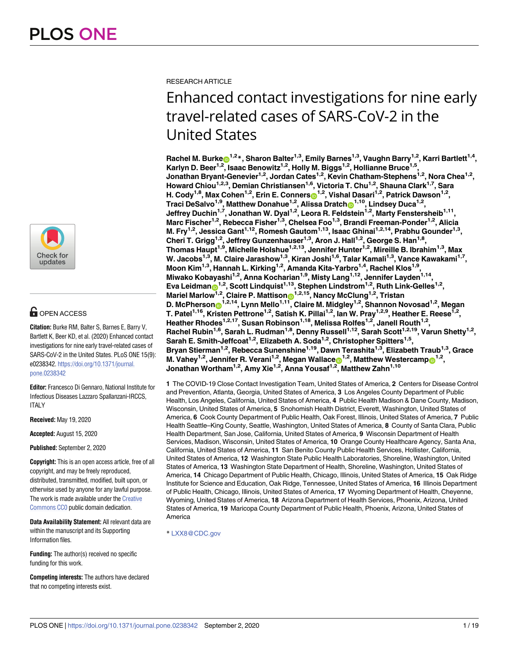

# **OPEN ACCESS**

**Citation:** Burke RM, Balter S, Barnes E, Barry V, Bartlett K, Beer KD, et al. (2020) Enhanced contact investigations for nine early travel-related cases of SARS-CoV-2 in the United States. PLoS ONE 15(9): e0238342. [https://doi.org/10.1371/journal.](https://doi.org/10.1371/journal.pone.0238342) [pone.0238342](https://doi.org/10.1371/journal.pone.0238342)

**Editor:** Francesco Di Gennaro, National Institute for Infectious Diseases Lazzaro Spallanzani-IRCCS, ITALY

**Received:** May 19, 2020

**Accepted:** August 15, 2020

**Published:** September 2, 2020

**Copyright:** This is an open access article, free of all copyright, and may be freely reproduced, distributed, transmitted, modified, built upon, or otherwise used by anyone for any lawful purpose. The work is made available under the [Creative](https://creativecommons.org/publicdomain/zero/1.0/) [Commons](https://creativecommons.org/publicdomain/zero/1.0/) CC0 public domain dedication.

**Data Availability Statement:** All relevant data are within the manuscript and its Supporting Information files.

**Funding:** The author(s) received no specific funding for this work.

**Competing interests:** The authors have declared that no competing interests exist.

RESEARCH ARTICLE

# Enhanced contact investigations for nine early travel-related cases of SARS-CoV-2 in the United States

**Rachel M. Burke**<sup>1,2</sup><sup>\*</sup>, Sharon Balter<sup>1,3</sup>, Emily Barnes<sup>1,3</sup>, Vaughn Barry<sup>1,2</sup>, Karri Bartlett<sup>1,4</sup>, **Karlyn D. Beer1,2, Isaac Benowitz1,2, Holly M. Biggs1,2, Hollianne Bruce1,5, Jonathan Bryant-Genevier1,2, Jordan Cates1,2, Kevin Chatham-Stephens1,2, Nora Chea1,2, Howard Chiou1,2,3, Demian Christiansen1,6, Victoria T. Chu1,2, Shauna Clark1,7, Sara**  $H.$   $\text{Cody}^{1,8},$   $\text{Max Cohen}^{1,2},$   $\text{Erin E. Conners}$   $\text{C}^{1,2},$   $\text{Vishal Dasari}^{1,2},$   $\text{Patrick Dawson}^{1,2},$ **Traci DeSalvo1,9, Matthew Donahue1,2, Alissa Dratc[hID1](http://orcid.org/0000-0002-2315-979X),10, Lindsey Duca1,2, Jeffrey Duchin1,7, Jonathan W. Dyal1,2, Leora R. Feldstein1,2, Marty Fenstersheib1,11, Marc Fischer1,2, Rebecca Fisher1,3, Chelsea Foo1,3, Brandi Freeman-Ponder1,2, Alicia M. Fry1,2, Jessica Gant1,12, Romesh Gautom1,13, Isaac Ghinai1,2,14, Prabhu Gounder1,3, Cheri T. Grigg1,2, Jeffrey Gunzenhauser1,3, Aron J. Hall1,2, George S. Han1,8, Thomas Haupt1,9, Michelle Holshue1,2,13, Jennifer Hunter1,2, Mireille B. Ibrahim1,3, Max W. Jacobs1,3, M. Claire Jarashow1,3, Kiran Joshi1,6, Talar Kamali1,3, Vance Kawakami1,7, Moon Kim1,3, Hannah L. Kirking1,2, Amanda Kita-Yarbro1,4, Rachel Klos1,9, Miwako Kobayashi1,2, Anna Kocharian1,9, Misty Lang1,12, Jennifer Layden1,14,**  $E$ va Leidman $\Phi^{1,2}$ , Scott Lindquist<sup>1,13</sup>, Stephen Lindstrom<sup>1,2</sup>, Ruth Link-Gelles<sup>1,2</sup>,  $M$ ariel Marlow<sup>1,2</sup>, Claire P. Mattison $\mathbf{C}^{1,2,15}$ , Nancy McClung<sup>1,2</sup>, Tristan  $D$ .  $M$ cPherson $\mathbf{D}^{1,2,14}$ , Lynn Mello $^{1,11}$ , Claire M. Midgley $^{1,2}$ , Shannon Novosad $^{1,2}$ , Megan **T. Patel1,16, Kristen Pettrone1,2, Satish K. Pillai1,2, Ian W. Pray1,2,9, Heather E. Reese1,2, Heather Rhodes1,2,17, Susan Robinson1,18, Melissa Rolfes1,2, Janell Routh1,2, Rachel Rubin1,6, Sarah L. Rudman1,8, Denny Russell1,12, Sarah Scott1,2,19, Varun Shetty1,2, Sarah E. Smith-Jeffcoat1,2, Elizabeth A. Soda1,2, Christopher Spitters1,5, Bryan Stierman1,2, Rebecca Sunenshine1,19, Dawn Terashita1,3, Elizabeth Traub1,3, Grace M.** <code>Vahey<sup>1,2</sup>, Jennifer R. Verani<sup>1,2</sup>, Megan Wallace $\mathbf{D}^{1,2}$ , Matthew Westercamp $\mathbf{D}^{1,2}$ ,</code> **Jonathan Wortham1,2, Amy Xie1,2, Anna Yousaf1,2, Matthew Zahn1,10**

**1** The COVID-19 Close Contact Investigation Team, United States of America, **2** Centers for Disease Control and Prevention, Atlanta, Georgia, United States of America, **3** Los Angeles County Department of Public Health, Los Angeles, California, United States of America, **4** Public Health Madison & Dane County, Madison, Wisconsin, United States of America, **5** Snohomish Health District, Everett, Washington, United States of America, **6** Cook County Department of Public Health, Oak Forest, Illinois, United States of America, **7** Public Health Seattle–King County, Seattle, Washington, United States of America, **8** County of Santa Clara, Public Health Department, San Jose, California, United States of America, **9** Wisconsin Department of Health Services, Madison, Wisconsin, United States of America, **10** Orange County Healthcare Agency, Santa Ana, California, United States of America, **11** San Benito County Public Health Services, Hollister, California, United States of America, **12** Washington State Public Health Laboratories, Shoreline, Washington, United States of America, **13** Washington State Department of Health, Shoreline, Washington, United States of America, **14** Chicago Department of Public Health, Chicago, Illinois, United States of America, **15** Oak Ridge Institute for Science and Education, Oak Ridge, Tennessee, United States of America, **16** Illinois Department of Public Health, Chicago, Illinois, United States of America, **17** Wyoming Department of Health, Cheyenne, Wyoming, United States of America, **18** Arizona Department of Health Services, Phoenix, Arizona, United States of America, **19** Maricopa County Department of Public Health, Phoenix, Arizona, United States of America

\* LXX8@CDC.gov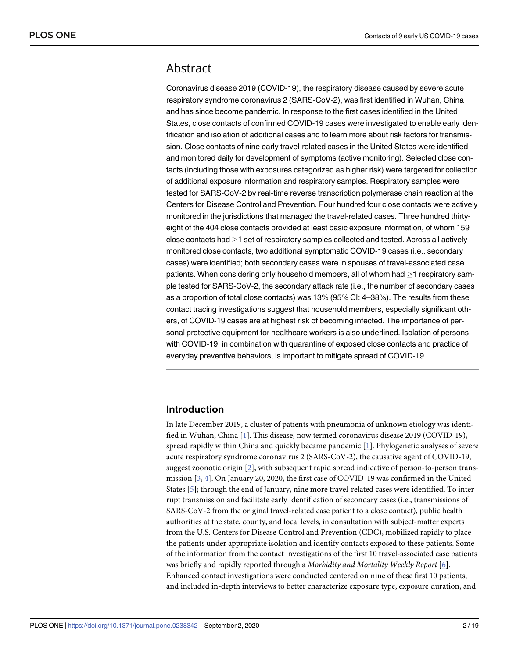# <span id="page-1-0"></span>Abstract

Coronavirus disease 2019 (COVID-19), the respiratory disease caused by severe acute respiratory syndrome coronavirus 2 (SARS-CoV-2), was first identified in Wuhan, China and has since become pandemic. In response to the first cases identified in the United States, close contacts of confirmed COVID-19 cases were investigated to enable early identification and isolation of additional cases and to learn more about risk factors for transmission. Close contacts of nine early travel-related cases in the United States were identified and monitored daily for development of symptoms (active monitoring). Selected close contacts (including those with exposures categorized as higher risk) were targeted for collection of additional exposure information and respiratory samples. Respiratory samples were tested for SARS-CoV-2 by real-time reverse transcription polymerase chain reaction at the Centers for Disease Control and Prevention. Four hundred four close contacts were actively monitored in the jurisdictions that managed the travel-related cases. Three hundred thirtyeight of the 404 close contacts provided at least basic exposure information, of whom 159 close contacts had �1 set of respiratory samples collected and tested. Across all actively monitored close contacts, two additional symptomatic COVID-19 cases (i.e., secondary cases) were identified; both secondary cases were in spouses of travel-associated case patients. When considering only household members, all of whom had  $>1$  respiratory sample tested for SARS-CoV-2, the secondary attack rate (i.e., the number of secondary cases as a proportion of total close contacts) was 13% (95% CI: 4–38%). The results from these contact tracing investigations suggest that household members, especially significant others, of COVID-19 cases are at highest risk of becoming infected. The importance of personal protective equipment for healthcare workers is also underlined. Isolation of persons with COVID-19, in combination with quarantine of exposed close contacts and practice of everyday preventive behaviors, is important to mitigate spread of COVID-19.

# **Introduction**

In late December 2019, a cluster of patients with pneumonia of unknown etiology was identified in Wuhan, China [\[1\]](#page-16-0). This disease, now termed coronavirus disease 2019 (COVID-19), spread rapidly within China and quickly became pandemic [\[1\]](#page-16-0). Phylogenetic analyses of severe acute respiratory syndrome coronavirus 2 (SARS-CoV-2), the causative agent of COVID-19, suggest zoonotic origin [[2\]](#page-16-0), with subsequent rapid spread indicative of person-to-person transmission [[3,](#page-16-0) [4\]](#page-16-0). On January 20, 2020, the first case of COVID-19 was confirmed in the United States [[5](#page-16-0)]; through the end of January, nine more travel-related cases were identified. To interrupt transmission and facilitate early identification of secondary cases (i.e., transmissions of SARS-CoV-2 from the original travel-related case patient to a close contact), public health authorities at the state, county, and local levels, in consultation with subject-matter experts from the U.S. Centers for Disease Control and Prevention (CDC), mobilized rapidly to place the patients under appropriate isolation and identify contacts exposed to these patients. Some of the information from the contact investigations of the first 10 travel-associated case patients was briefly and rapidly reported through a *Morbidity and Mortality Weekly Report* [[6](#page-16-0)]. Enhanced contact investigations were conducted centered on nine of these first 10 patients, and included in-depth interviews to better characterize exposure type, exposure duration, and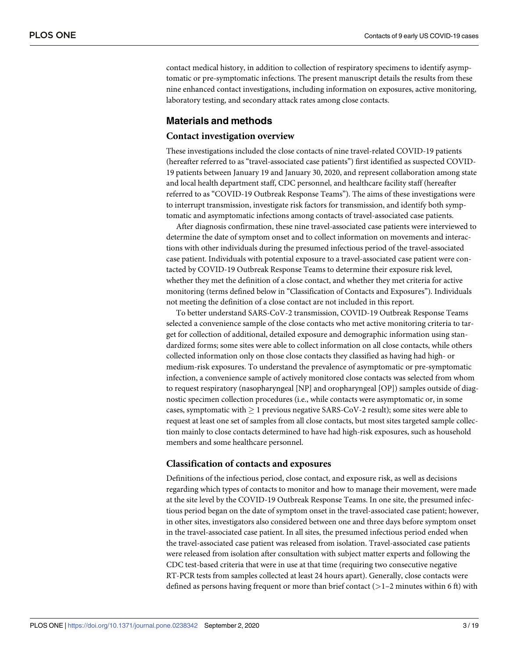contact medical history, in addition to collection of respiratory specimens to identify asymptomatic or pre-symptomatic infections. The present manuscript details the results from these nine enhanced contact investigations, including information on exposures, active monitoring, laboratory testing, and secondary attack rates among close contacts.

# **Materials and methods**

## **Contact investigation overview**

These investigations included the close contacts of nine travel-related COVID-19 patients (hereafter referred to as "travel-associated case patients") first identified as suspected COVID-19 patients between January 19 and January 30, 2020, and represent collaboration among state and local health department staff, CDC personnel, and healthcare facility staff (hereafter referred to as "COVID-19 Outbreak Response Teams"). The aims of these investigations were to interrupt transmission, investigate risk factors for transmission, and identify both symptomatic and asymptomatic infections among contacts of travel-associated case patients.

After diagnosis confirmation, these nine travel-associated case patients were interviewed to determine the date of symptom onset and to collect information on movements and interactions with other individuals during the presumed infectious period of the travel-associated case patient. Individuals with potential exposure to a travel-associated case patient were contacted by COVID-19 Outbreak Response Teams to determine their exposure risk level, whether they met the definition of a close contact, and whether they met criteria for active monitoring (terms defined below in "Classification of Contacts and Exposures"). Individuals not meeting the definition of a close contact are not included in this report.

To better understand SARS-CoV-2 transmission, COVID-19 Outbreak Response Teams selected a convenience sample of the close contacts who met active monitoring criteria to target for collection of additional, detailed exposure and demographic information using standardized forms; some sites were able to collect information on all close contacts, while others collected information only on those close contacts they classified as having had high- or medium-risk exposures. To understand the prevalence of asymptomatic or pre-symptomatic infection, a convenience sample of actively monitored close contacts was selected from whom to request respiratory (nasopharyngeal [NP] and oropharyngeal [OP]) samples outside of diagnostic specimen collection procedures (i.e., while contacts were asymptomatic or, in some cases, symptomatic with  $\geq 1$  previous negative SARS-CoV-2 result); some sites were able to request at least one set of samples from all close contacts, but most sites targeted sample collection mainly to close contacts determined to have had high-risk exposures, such as household members and some healthcare personnel.

## **Classification of contacts and exposures**

Definitions of the infectious period, close contact, and exposure risk, as well as decisions regarding which types of contacts to monitor and how to manage their movement, were made at the site level by the COVID-19 Outbreak Response Teams. In one site, the presumed infectious period began on the date of symptom onset in the travel-associated case patient; however, in other sites, investigators also considered between one and three days before symptom onset in the travel-associated case patient. In all sites, the presumed infectious period ended when the travel-associated case patient was released from isolation. Travel-associated case patients were released from isolation after consultation with subject matter experts and following the CDC test-based criteria that were in use at that time (requiring two consecutive negative RT-PCR tests from samples collected at least 24 hours apart). Generally, close contacts were defined as persons having frequent or more than brief contact (*>*1–2 minutes within 6 ft) with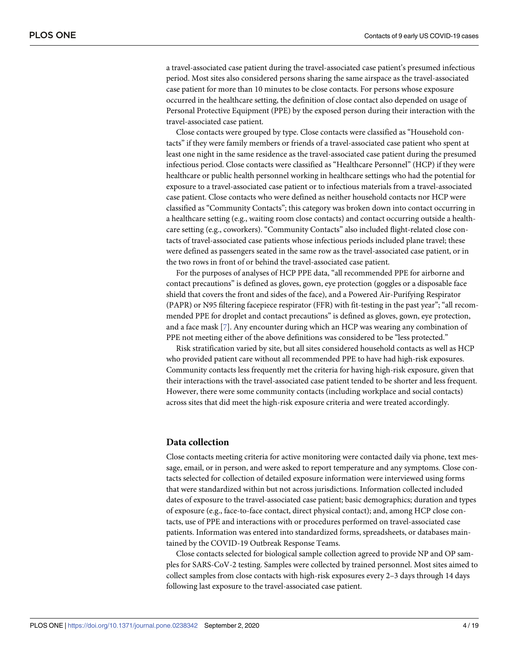<span id="page-3-0"></span>a travel-associated case patient during the travel-associated case patient's presumed infectious period. Most sites also considered persons sharing the same airspace as the travel-associated case patient for more than 10 minutes to be close contacts. For persons whose exposure occurred in the healthcare setting, the definition of close contact also depended on usage of Personal Protective Equipment (PPE) by the exposed person during their interaction with the travel-associated case patient.

Close contacts were grouped by type. Close contacts were classified as "Household contacts" if they were family members or friends of a travel-associated case patient who spent at least one night in the same residence as the travel-associated case patient during the presumed infectious period. Close contacts were classified as "Healthcare Personnel" (HCP) if they were healthcare or public health personnel working in healthcare settings who had the potential for exposure to a travel-associated case patient or to infectious materials from a travel-associated case patient. Close contacts who were defined as neither household contacts nor HCP were classified as "Community Contacts"; this category was broken down into contact occurring in a healthcare setting (e.g., waiting room close contacts) and contact occurring outside a healthcare setting (e.g., coworkers). "Community Contacts" also included flight-related close contacts of travel-associated case patients whose infectious periods included plane travel; these were defined as passengers seated in the same row as the travel-associated case patient, or in the two rows in front of or behind the travel-associated case patient.

For the purposes of analyses of HCP PPE data, "all recommended PPE for airborne and contact precautions" is defined as gloves, gown, eye protection (goggles or a disposable face shield that covers the front and sides of the face), and a Powered Air-Purifying Respirator (PAPR) or N95 filtering facepiece respirator (FFR) with fit-testing in the past year"; "all recommended PPE for droplet and contact precautions" is defined as gloves, gown, eye protection, and a face mask [\[7](#page-16-0)]. Any encounter during which an HCP was wearing any combination of PPE not meeting either of the above definitions was considered to be "less protected."

Risk stratification varied by site, but all sites considered household contacts as well as HCP who provided patient care without all recommended PPE to have had high-risk exposures. Community contacts less frequently met the criteria for having high-risk exposure, given that their interactions with the travel-associated case patient tended to be shorter and less frequent. However, there were some community contacts (including workplace and social contacts) across sites that did meet the high-risk exposure criteria and were treated accordingly.

#### **Data collection**

Close contacts meeting criteria for active monitoring were contacted daily via phone, text message, email, or in person, and were asked to report temperature and any symptoms. Close contacts selected for collection of detailed exposure information were interviewed using forms that were standardized within but not across jurisdictions. Information collected included dates of exposure to the travel-associated case patient; basic demographics; duration and types of exposure (e.g., face-to-face contact, direct physical contact); and, among HCP close contacts, use of PPE and interactions with or procedures performed on travel-associated case patients. Information was entered into standardized forms, spreadsheets, or databases maintained by the COVID-19 Outbreak Response Teams.

Close contacts selected for biological sample collection agreed to provide NP and OP samples for SARS-CoV-2 testing. Samples were collected by trained personnel. Most sites aimed to collect samples from close contacts with high-risk exposures every 2–3 days through 14 days following last exposure to the travel-associated case patient.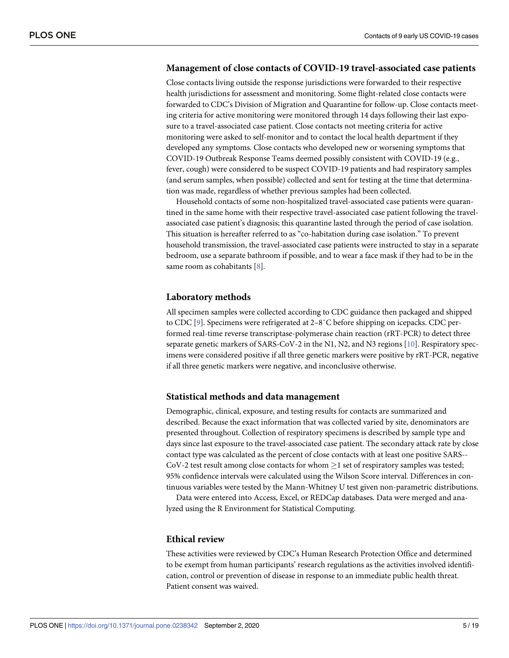#### <span id="page-4-0"></span>**Management of close contacts of COVID-19 travel-associated case patients**

Close contacts living outside the response jurisdictions were forwarded to their respective health jurisdictions for assessment and monitoring. Some flight-related close contacts were forwarded to CDC's Division of Migration and Quarantine for follow-up. Close contacts meeting criteria for active monitoring were monitored through 14 days following their last exposure to a travel-associated case patient. Close contacts not meeting criteria for active monitoring were asked to self-monitor and to contact the local health department if they developed any symptoms. Close contacts who developed new or worsening symptoms that COVID-19 Outbreak Response Teams deemed possibly consistent with COVID-19 (e.g., fever, cough) were considered to be suspect COVID-19 patients and had respiratory samples (and serum samples, when possible) collected and sent for testing at the time that determination was made, regardless of whether previous samples had been collected.

Household contacts of some non-hospitalized travel-associated case patients were quarantined in the same home with their respective travel-associated case patient following the travelassociated case patient's diagnosis; this quarantine lasted through the period of case isolation. This situation is hereafter referred to as "co-habitation during case isolation." To prevent household transmission, the travel-associated case patients were instructed to stay in a separate bedroom, use a separate bathroom if possible, and to wear a face mask if they had to be in the same room as cohabitants [[8](#page-16-0)].

#### **Laboratory methods**

All specimen samples were collected according to CDC guidance then packaged and shipped to CDC [\[9](#page-17-0)]. Specimens were refrigerated at 2–8˚C before shipping on icepacks. CDC performed real-time reverse transcriptase-polymerase chain reaction (rRT-PCR) to detect three separate genetic markers of SARS-CoV-2 in the N1, N2, and N3 regions [[10](#page-17-0)]. Respiratory specimens were considered positive if all three genetic markers were positive by rRT-PCR, negative if all three genetic markers were negative, and inconclusive otherwise.

# **Statistical methods and data management**

Demographic, clinical, exposure, and testing results for contacts are summarized and described. Because the exact information that was collected varied by site, denominators are presented throughout. Collection of respiratory specimens is described by sample type and days since last exposure to the travel-associated case patient. The secondary attack rate by close contact type was calculated as the percent of close contacts with at least one positive SARS-- CoV-2 test result among close contacts for whom  $\geq$  1 set of respiratory samples was tested; 95% confidence intervals were calculated using the Wilson Score interval. Differences in continuous variables were tested by the Mann-Whitney U test given non-parametric distributions.

Data were entered into Access, Excel, or REDCap databases. Data were merged and analyzed using the R Environment for Statistical Computing.

#### **Ethical review**

These activities were reviewed by CDC's Human Research Protection Office and determined to be exempt from human participants' research regulations as the activities involved identification, control or prevention of disease in response to an immediate public health threat. Patient consent was waived.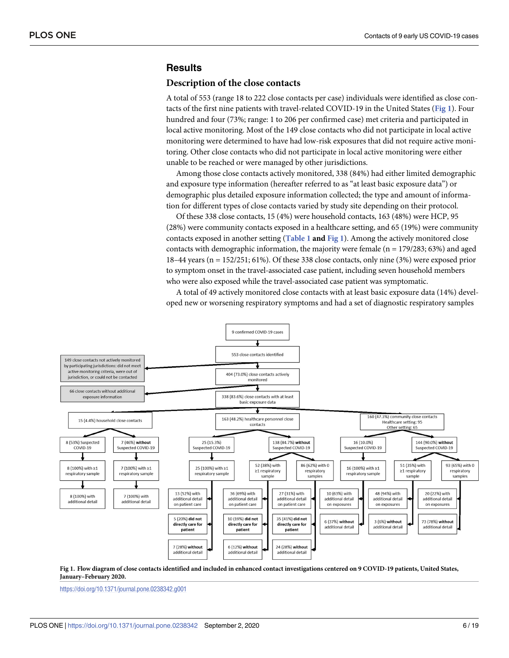# <span id="page-5-0"></span>**Results**

#### **Description of the close contacts**

A total of 553 (range 18 to 222 close contacts per case) individuals were identified as close contacts of the first nine patients with travel-related COVID-19 in the United States (**Fig 1**). Four hundred and four (73%; range: 1 to 206 per confirmed case) met criteria and participated in local active monitoring. Most of the 149 close contacts who did not participate in local active monitoring were determined to have had low-risk exposures that did not require active monitoring. Other close contacts who did not participate in local active monitoring were either unable to be reached or were managed by other jurisdictions.

Among those close contacts actively monitored, 338 (84%) had either limited demographic and exposure type information (hereafter referred to as "at least basic exposure data") or demographic plus detailed exposure information collected; the type and amount of information for different types of close contacts varied by study site depending on their protocol.

Of these 338 close contacts, 15 (4%) were household contacts, 163 (48%) were HCP, 95 (28%) were community contacts exposed in a healthcare setting, and 65 (19%) were community contacts exposed in another setting (**[Table](#page-6-0) 1 and Fig 1**). Among the actively monitored close contacts with demographic information, the majority were female ( $n = 179/283$ ; 63%) and aged 18–44 years (n = 152/251; 61%). Of these 338 close contacts, only nine (3%) were exposed prior to symptom onset in the travel-associated case patient, including seven household members who were also exposed while the travel-associated case patient was symptomatic.

A total of 49 actively monitored close contacts with at least basic exposure data (14%) developed new or worsening respiratory symptoms and had a set of diagnostic respiratory samples



Fig 1. Flow diagram of close contacts identified and included in enhanced contact investigations centered on 9 COVID-19 patients, United States, **January–February 2020.**

<https://doi.org/10.1371/journal.pone.0238342.g001>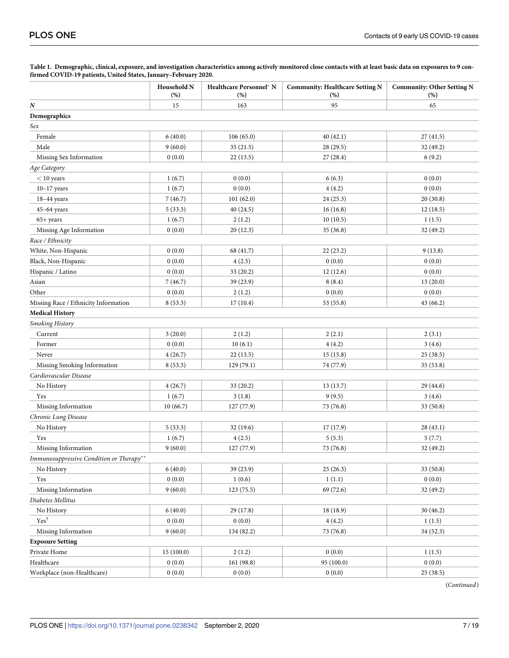|                                          | Household N<br>(%) | Healthcare Personnel* N<br>(%) | <b>Community: Healthcare Setting N</b><br>(%) | <b>Community: Other Setting N</b><br>(% ) |  |  |  |
|------------------------------------------|--------------------|--------------------------------|-----------------------------------------------|-------------------------------------------|--|--|--|
| $\overline{N}$                           | 15                 | 163                            | 95                                            | 65                                        |  |  |  |
| Demographics                             |                    |                                |                                               |                                           |  |  |  |
| Sex                                      |                    |                                |                                               |                                           |  |  |  |
| Female                                   | 6(40.0)            | 106(65.0)                      | 40(42.1)                                      | 27(41.5)                                  |  |  |  |
| Male                                     | 9(60.0)            | 35 (21.5)                      | 28(29.5)                                      |                                           |  |  |  |
| Missing Sex Information                  | 0(0.0)             | 22 (13.5)                      | 27(28.4)                                      | 6(9.2)                                    |  |  |  |
| Age Category                             |                    |                                |                                               |                                           |  |  |  |
| $<$ 10 years                             | 1(6.7)             | 0(0.0)                         | 6(6.3)                                        | 0(0.0)                                    |  |  |  |
| $10-17$ years                            | 1(6.7)             | 0(0.0)                         | 4(4.2)                                        | 0(0.0)                                    |  |  |  |
| $18-44$ years                            | 7(46.7)            | 101(62.0)                      | 24(25.3)                                      | 20(30.8)                                  |  |  |  |
| $45-64$ years                            | 5(33.3)            | 40 (24.5)                      | 16(16.8)                                      | 12(18.5)                                  |  |  |  |
| $65+ years$                              | 1(6.7)             | 2(1.2)                         | 10(10.5)                                      | 1(1.5)                                    |  |  |  |
| Missing Age Information                  | 0(0.0)             | 20 (12.3)                      | 35(36.8)                                      | 32 (49.2)                                 |  |  |  |
| Race / Ethnicity                         |                    |                                |                                               |                                           |  |  |  |
| White, Non-Hispanic                      | 0(0.0)             | 68 (41.7)                      | 22(23.2)                                      | 9(13.8)                                   |  |  |  |
| Black, Non-Hispanic                      | 0(0.0)             | 4(2.5)                         | 0(0.0)                                        | 0(0.0)                                    |  |  |  |
| Hispanic / Latino                        | 0(0.0)             | 33 (20.2)                      | 12(12.6)                                      | 0(0.0)                                    |  |  |  |
| Asian                                    | 7(46.7)            | 39 (23.9)                      | 8(8.4)                                        | 13(20.0)                                  |  |  |  |
| Other                                    | 0(0.0)             | 2(1.2)                         | 0(0.0)                                        | 0(0.0)                                    |  |  |  |
| Missing Race / Ethnicity Information     | 8(53.3)            | 17(10.4)                       | 53 (55.8)                                     | 43 (66.2)                                 |  |  |  |
| <b>Medical History</b>                   |                    |                                |                                               |                                           |  |  |  |
| <b>Smoking History</b>                   |                    |                                |                                               |                                           |  |  |  |
| Current                                  | 3(20.0)            | 2(1.2)                         | 2(2.1)                                        | 2(3.1)                                    |  |  |  |
| Former                                   | 0(0.0)             | 10(6.1)                        | 4(4.2)                                        | 3(4.6)                                    |  |  |  |
| Never                                    | 4(26.7)            | 22 (13.5)                      | 15(15.8)                                      | 25 (38.5)                                 |  |  |  |
| Missing Smoking Information              | 8(53.3)            | 129(79.1)                      | 74 (77.9)                                     | 35 (53.8)                                 |  |  |  |
| Cardiovascular Disease                   |                    |                                |                                               |                                           |  |  |  |
| No History                               | 4(26.7)            | 33 (20.2)                      | 13(13.7)                                      | 29 (44.6)                                 |  |  |  |
| Yes                                      | 1(6.7)             | 3(1.8)                         | 9(9.5)                                        | 3(4.6)                                    |  |  |  |
| Missing Information                      | 10(66.7)           | 127(77.9)                      | 73 (76.8)                                     | 33 (50.8)                                 |  |  |  |
| Chronic Lung Disease                     |                    |                                |                                               |                                           |  |  |  |
| No History                               | 5(33.3)            | 32 (19.6)                      | 17(17.9)                                      | 28(43.1)                                  |  |  |  |
| Yes                                      | 1(6.7)             | 4(2.5)                         | 5(5.3)                                        | 5(7.7)                                    |  |  |  |
| Missing Information                      | 9(60.0)            | 127(77.9)                      | 73 (76.8)                                     | 32 (49.2)                                 |  |  |  |
| Immunosuppressive Condition or Therapy** |                    |                                |                                               |                                           |  |  |  |
| No History                               | 6(40.0)            | 39 (23.9)                      | 25(26.3)                                      | 33 (50.8)                                 |  |  |  |
| Yes                                      | 0(0.0)             | 1(0.6)                         | 1(1.1)                                        | 0(0.0)                                    |  |  |  |
| Missing Information                      | 9(60.0)            | 123(75.5)                      | 69 (72.6)                                     | 32 (49.2)                                 |  |  |  |
| Diabetes Mellitus                        |                    |                                |                                               |                                           |  |  |  |
| No History                               | 6(40.0)            | 29(17.8)                       | 18 (18.9)                                     | 30(46.2)                                  |  |  |  |
| $Yes^{\dagger}$                          | 0(0.0)             | 0(0.0)                         | 4(4.2)                                        | 1(1.5)                                    |  |  |  |
| Missing Information                      | 9(60.0)            | 134 (82.2)                     | 73 (76.8)                                     | 34 (52.3)                                 |  |  |  |
| <b>Exposure Setting</b>                  |                    |                                |                                               |                                           |  |  |  |
| Private Home                             | 15(100.0)          | 2(1.2)                         | 0(0.0)                                        | 1(1.5)                                    |  |  |  |
| Healthcare                               | 0(0.0)             | 161 (98.8)                     | 95 (100.0)                                    | 0(0.0)                                    |  |  |  |
| Workplace (non-Healthcare)               | 0(0.0)             | 0(0.0)                         | 0(0.0)                                        | 25(38.5)                                  |  |  |  |

<span id="page-6-0"></span>[Table](#page-5-0) 1. Demographic, clinical, exposure, and investigation characteristics among actively monitored close contacts with at least basic data on exposures to 9 con**firmed COVID-19 patients, United States, January–February 2020.**

(*Continued*)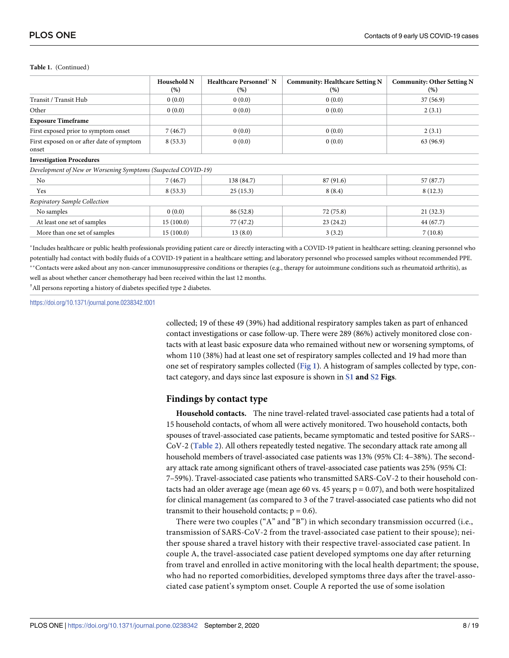|                                                               | <b>Household N</b><br>(%) | <b>Healthcare Personnel* N</b><br>(%) | <b>Community: Healthcare Setting N</b><br>(%) | <b>Community: Other Setting N</b><br>(%) |  |
|---------------------------------------------------------------|---------------------------|---------------------------------------|-----------------------------------------------|------------------------------------------|--|
| Transit / Transit Hub                                         | 0(0.0)                    | 0(0.0)                                | 0(0.0)                                        | 37(56.9)                                 |  |
| Other                                                         | 0(0.0)                    | 0(0.0)                                | 0(0.0)                                        | 2(3.1)                                   |  |
| <b>Exposure Timeframe</b>                                     |                           |                                       |                                               |                                          |  |
| First exposed prior to symptom onset                          | 7(46.7)                   | 0(0.0)                                | 0(0.0)                                        | 2(3.1)                                   |  |
| First exposed on or after date of symptom<br>onset            | 8(53.3)                   | 0(0.0)<br>0(0.0)                      |                                               | 63 (96.9)                                |  |
| <b>Investigation Procedures</b>                               |                           |                                       |                                               |                                          |  |
| Development of New or Worsening Symptoms (Suspected COVID-19) |                           |                                       |                                               |                                          |  |
| No                                                            | 7(46.7)                   | 138 (84.7)                            | 87 (91.6)                                     | 57 (87.7)                                |  |
| Yes                                                           | 8(53.3)                   | 25(15.3)                              | 8(8.4)                                        | 8(12.3)                                  |  |
| Respiratory Sample Collection                                 |                           |                                       |                                               |                                          |  |
| No samples                                                    | 0(0.0)                    | 86 (52.8)                             | 72 (75.8)                                     | 21(32.3)                                 |  |
| At least one set of samples                                   | 15(100.0)                 | 77 (47.2)                             | 23(24.2)                                      | 44 (67.7)                                |  |
| More than one set of samples                                  | 15(100.0)                 | 13(8.0)                               | 3(3.2)                                        | 7(10.8)                                  |  |
|                                                               |                           |                                       |                                               |                                          |  |

#### <span id="page-7-0"></span>**Table 1.** (Continued)

�Includes healthcare or public health professionals providing patient care or directly interacting with a COVID-19 patient in healthcare setting; cleaning personnel who potentially had contact with bodily fluids of a COVID-19 patient in a healthcare setting; and laboratory personnel who processed samples without recommended PPE. \*\*Contacts were asked about any non-cancer immunosuppressive conditions or therapies (e.g., therapy for autoimmune conditions such as rheumatoid arthritis), as well as about whether cancer chemotherapy had been received within the last 12 months.

† All persons reporting a history of diabetes specified type 2 diabetes.

<https://doi.org/10.1371/journal.pone.0238342.t001>

collected; 19 of these 49 (39%) had additional respiratory samples taken as part of enhanced contact investigations or case follow-up. There were 289 (86%) actively monitored close contacts with at least basic exposure data who remained without new or worsening symptoms, of whom 110 (38%) had at least one set of respiratory samples collected and 19 had more than one set of respiratory samples collected (**[Fig](#page-5-0) 1**). A histogram of samples collected by type, contact category, and days since last exposure is shown in **[S1](#page-14-0) and [S2](#page-14-0) Figs**.

#### **Findings by contact type**

**Household contacts.** The nine travel-related travel-associated case patients had a total of 15 household contacts, of whom all were actively monitored. Two household contacts, both spouses of travel-associated case patients, became symptomatic and tested positive for SARS-- CoV-2 (**[Table](#page-8-0) 2**). All others repeatedly tested negative. The secondary attack rate among all household members of travel-associated case patients was 13% (95% CI: 4–38%). The secondary attack rate among significant others of travel-associated case patients was 25% (95% CI: 7–59%). Travel-associated case patients who transmitted SARS-CoV-2 to their household contacts had an older average age (mean age 60 vs. 45 years;  $p = 0.07$ ), and both were hospitalized for clinical management (as compared to 3 of the 7 travel-associated case patients who did not transmit to their household contacts;  $p = 0.6$ ).

There were two couples ("A" and "B") in which secondary transmission occurred (i.e., transmission of SARS-CoV-2 from the travel-associated case patient to their spouse); neither spouse shared a travel history with their respective travel-associated case patient. In couple A, the travel-associated case patient developed symptoms one day after returning from travel and enrolled in active monitoring with the local health department; the spouse, who had no reported comorbidities, developed symptoms three days after the travel-associated case patient's symptom onset. Couple A reported the use of some isolation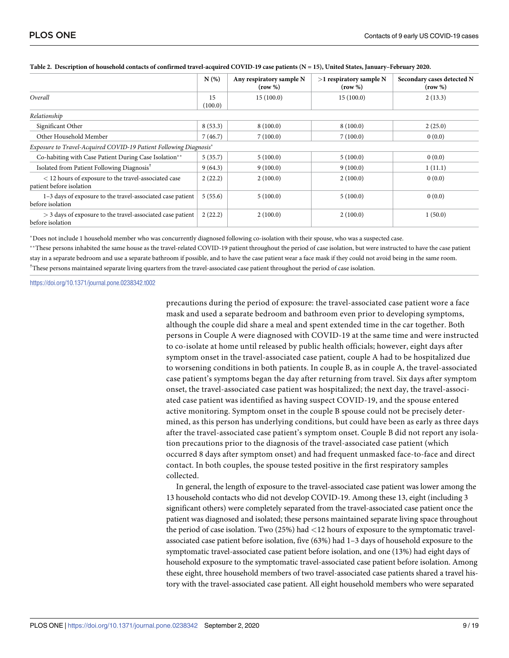|                                                                                    | N(%)          | Any respiratory sample N<br>(row %) | $>1$ respiratory sample N<br>(row %) | Secondary cases detected N<br>(row %) |
|------------------------------------------------------------------------------------|---------------|-------------------------------------|--------------------------------------|---------------------------------------|
| Overall                                                                            | 15<br>(100.0) | 15(100.0)                           | 15(100.0)                            | 2(13.3)                               |
| Relationship                                                                       |               |                                     |                                      |                                       |
| Significant Other                                                                  | 8(53.3)       | 8(100.0)                            | 8(100.0)                             | 2(25.0)                               |
| Other Household Member                                                             | 7(46.7)       | 7(100.0)                            | 7(100.0)                             | 0(0.0)                                |
| Exposure to Travel-Acquired COVID-19 Patient Following Diagnosis*                  |               |                                     |                                      |                                       |
| Co-habiting with Case Patient During Case Isolation**                              | 5(35.7)       | 5(100.0)                            | 5(100.0)                             | 0(0.0)                                |
| Isolated from Patient Following Diagnosis <sup>†</sup>                             | 9(64.3)       | 9(100.0)                            | 9(100.0)                             | 1(11.1)                               |
| $<$ 12 hours of exposure to the travel-associated case<br>patient before isolation | 2(22.2)       | 2(100.0)                            | 2(100.0)                             | 0(0.0)                                |
| 1–3 days of exposure to the travel-associated case patient<br>before isolation     | 5(55.6)       | 5(100.0)                            | 5(100.0)                             | 0(0.0)                                |
| $>$ 3 days of exposure to the travel-associated case patient<br>before isolation   | 2(22.2)       | 2(100.0)                            | 2(100.0)                             | 1(50.0)                               |

#### <span id="page-8-0"></span>[Table](#page-7-0) 2. Description of household contacts of confirmed travel-acquired COVID-19 case patients (N = 15), United States, January-February 2020.

�Does not include 1 household member who was concurrently diagnosed following co-isolation with their spouse, who was a suspected case.

\*\*These persons inhabited the same house as the travel-related COVID-19 patient throughout the period of case isolation, but were instructed to have the case patient stay in a separate bedroom and use a separate bathroom if possible, and to have the case patient wear a face mask if they could not avoid being in the same room. † These persons maintained separate living quarters from the travel-associated case patient throughout the period of case isolation.

<https://doi.org/10.1371/journal.pone.0238342.t002>

precautions during the period of exposure: the travel-associated case patient wore a face mask and used a separate bedroom and bathroom even prior to developing symptoms, although the couple did share a meal and spent extended time in the car together. Both persons in Couple A were diagnosed with COVID-19 at the same time and were instructed to co-isolate at home until released by public health officials; however, eight days after symptom onset in the travel-associated case patient, couple A had to be hospitalized due to worsening conditions in both patients. In couple B, as in couple A, the travel-associated case patient's symptoms began the day after returning from travel. Six days after symptom onset, the travel-associated case patient was hospitalized; the next day, the travel-associated case patient was identified as having suspect COVID-19, and the spouse entered active monitoring. Symptom onset in the couple B spouse could not be precisely determined, as this person has underlying conditions, but could have been as early as three days after the travel-associated case patient's symptom onset. Couple B did not report any isolation precautions prior to the diagnosis of the travel-associated case patient (which occurred 8 days after symptom onset) and had frequent unmasked face-to-face and direct contact. In both couples, the spouse tested positive in the first respiratory samples collected.

In general, the length of exposure to the travel-associated case patient was lower among the 13 household contacts who did not develop COVID-19. Among these 13, eight (including 3 significant others) were completely separated from the travel-associated case patient once the patient was diagnosed and isolated; these persons maintained separate living space throughout the period of case isolation. Two (25%) had *<*12 hours of exposure to the symptomatic travelassociated case patient before isolation, five (63%) had 1–3 days of household exposure to the symptomatic travel-associated case patient before isolation, and one (13%) had eight days of household exposure to the symptomatic travel-associated case patient before isolation. Among these eight, three household members of two travel-associated case patients shared a travel history with the travel-associated case patient. All eight household members who were separated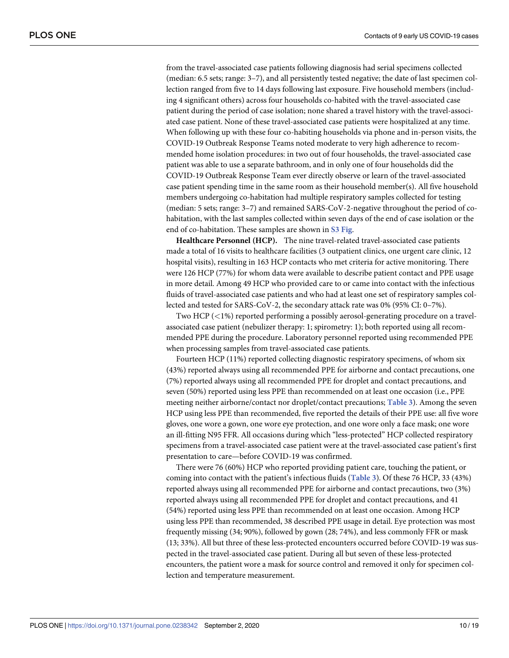<span id="page-9-0"></span>from the travel-associated case patients following diagnosis had serial specimens collected (median: 6.5 sets; range: 3–7), and all persistently tested negative; the date of last specimen collection ranged from five to 14 days following last exposure. Five household members (including 4 significant others) across four households co-habited with the travel-associated case patient during the period of case isolation; none shared a travel history with the travel-associated case patient. None of these travel-associated case patients were hospitalized at any time. When following up with these four co-habiting households via phone and in-person visits, the COVID-19 Outbreak Response Teams noted moderate to very high adherence to recommended home isolation procedures: in two out of four households, the travel-associated case patient was able to use a separate bathroom, and in only one of four households did the COVID-19 Outbreak Response Team ever directly observe or learn of the travel-associated case patient spending time in the same room as their household member(s). All five household members undergoing co-habitation had multiple respiratory samples collected for testing (median: 5 sets; range: 3–7) and remained SARS-CoV-2-negative throughout the period of cohabitation, with the last samples collected within seven days of the end of case isolation or the end of co-habitation. These samples are shown in **S3 [Fig](#page-14-0)**.

**Healthcare Personnel (HCP).** The nine travel-related travel-associated case patients made a total of 16 visits to healthcare facilities (3 outpatient clinics, one urgent care clinic, 12 hospital visits), resulting in 163 HCP contacts who met criteria for active monitoring. There were 126 HCP (77%) for whom data were available to describe patient contact and PPE usage in more detail. Among 49 HCP who provided care to or came into contact with the infectious fluids of travel-associated case patients and who had at least one set of respiratory samples collected and tested for SARS-CoV-2, the secondary attack rate was 0% (95% CI: 0–7%).

Two HCP (*<*1%) reported performing a possibly aerosol-generating procedure on a travelassociated case patient (nebulizer therapy: 1; spirometry: 1); both reported using all recommended PPE during the procedure. Laboratory personnel reported using recommended PPE when processing samples from travel-associated case patients.

Fourteen HCP (11%) reported collecting diagnostic respiratory specimens, of whom six (43%) reported always using all recommended PPE for airborne and contact precautions, one (7%) reported always using all recommended PPE for droplet and contact precautions, and seven (50%) reported using less PPE than recommended on at least one occasion (i.e., PPE meeting neither airborne/contact nor droplet/contact precautions; **[Table](#page-10-0) 3**). Among the seven HCP using less PPE than recommended, five reported the details of their PPE use: all five wore gloves, one wore a gown, one wore eye protection, and one wore only a face mask; one wore an ill-fitting N95 FFR. All occasions during which "less-protected" HCP collected respiratory specimens from a travel-associated case patient were at the travel-associated case patient's first presentation to care—before COVID-19 was confirmed.

There were 76 (60%) HCP who reported providing patient care, touching the patient, or coming into contact with the patient's infectious fluids (**[Table](#page-10-0) 3**). Of these 76 HCP, 33 (43%) reported always using all recommended PPE for airborne and contact precautions, two (3%) reported always using all recommended PPE for droplet and contact precautions, and 41 (54%) reported using less PPE than recommended on at least one occasion. Among HCP using less PPE than recommended, 38 described PPE usage in detail. Eye protection was most frequently missing (34; 90%), followed by gown (28; 74%), and less commonly FFR or mask (13; 33%). All but three of these less-protected encounters occurred before COVID-19 was suspected in the travel-associated case patient. During all but seven of these less-protected encounters, the patient wore a mask for source control and removed it only for specimen collection and temperature measurement.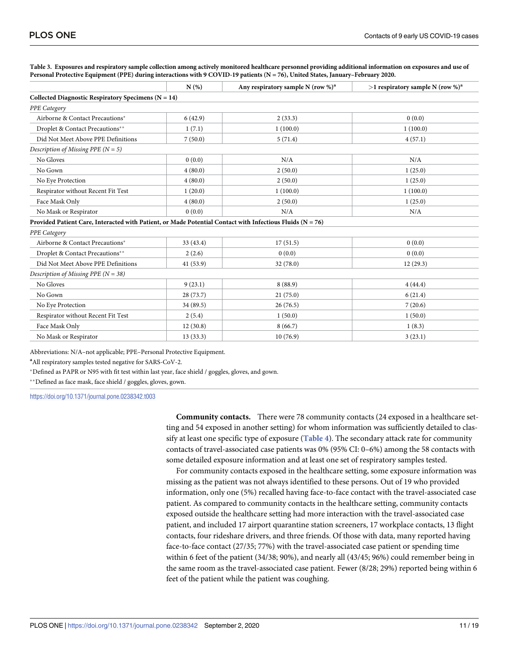|                                                                                                               | N(%)      | Any respiratory sample N (row %) <sup>a</sup> | >1 respiratory sample N (row %) <sup>a</sup> |  |
|---------------------------------------------------------------------------------------------------------------|-----------|-----------------------------------------------|----------------------------------------------|--|
| Collected Diagnostic Respiratory Specimens ( $N = 14$ )                                                       |           |                                               |                                              |  |
| PPE Category                                                                                                  |           |                                               |                                              |  |
| Airborne & Contact Precautions*                                                                               | 6(42.9)   | 2(33.3)                                       | 0(0.0)                                       |  |
| Droplet & Contact Precautions**                                                                               | 1(7.1)    | 1(100.0)                                      | 1(100.0)                                     |  |
| Did Not Meet Above PPE Definitions                                                                            | 7(50.0)   | 5(71.4)                                       | 4(57.1)                                      |  |
| Description of Missing PPE ( $N = 5$ )                                                                        |           |                                               |                                              |  |
| No Gloves                                                                                                     | 0(0.0)    | N/A                                           | N/A                                          |  |
| No Gown                                                                                                       | 4(80.0)   | 2(50.0)                                       | 1(25.0)                                      |  |
| No Eye Protection                                                                                             | 4(80.0)   | 2(50.0)                                       | 1(25.0)                                      |  |
| Respirator without Recent Fit Test                                                                            | 1(20.0)   | 1(100.0)                                      | 1(100.0)                                     |  |
| Face Mask Only                                                                                                | 4(80.0)   | 2(50.0)                                       | 1(25.0)                                      |  |
| No Mask or Respirator                                                                                         | 0(0.0)    | N/A                                           | N/A                                          |  |
| Provided Patient Care, Interacted with Patient, or Made Potential Contact with Infectious Fluids ( $N = 76$ ) |           |                                               |                                              |  |
| PPE Category                                                                                                  |           |                                               |                                              |  |
| Airborne & Contact Precautions*                                                                               | 33 (43.4) | 17(51.5)                                      | 0(0.0)                                       |  |
| Droplet & Contact Precautions**                                                                               | 2(2.6)    | 0(0.0)                                        | 0(0.0)                                       |  |
| Did Not Meet Above PPE Definitions                                                                            | 41 (53.9) | 32(78.0)                                      | 12(29.3)                                     |  |
| Description of Missing PPE ( $N = 38$ )                                                                       |           |                                               |                                              |  |
| No Gloves                                                                                                     | 9(23.1)   | 8(88.9)                                       | 4(44.4)                                      |  |
| No Gown                                                                                                       | 28 (73.7) | 21(75.0)                                      | 6(21.4)                                      |  |
| No Eye Protection                                                                                             | 34 (89.5) | 26(76.5)                                      | 7(20.6)                                      |  |
| Respirator without Recent Fit Test                                                                            | 2(5.4)    | 1(50.0)                                       | 1(50.0)                                      |  |
| Face Mask Only                                                                                                | 12(30.8)  | 8(66.7)                                       | 1(8.3)                                       |  |
| No Mask or Respirator                                                                                         | 13(33.3)  | 10(76.9)                                      | 3(23.1)                                      |  |

<span id="page-10-0"></span>[Table](#page-9-0) 3. Exposures and respiratory sample collection among actively monitored healthcare personnel providing additional information on exposures and use of Personal Protective Equipment (PPE) during interactions with 9 COVID-19 patients (N = 76), United States, January-February 2020.

Abbreviations: N/A–not applicable; PPE–Personal Protective Equipment.

**a** All respiratory samples tested negative for SARS-CoV-2.

�Defined as PAPR or N95 with fit test within last year, face shield / goggles, gloves, and gown.

��Defined as face mask, face shield / goggles, gloves, gown.

<https://doi.org/10.1371/journal.pone.0238342.t003>

**Community contacts.** There were 78 community contacts (24 exposed in a healthcare setting and 54 exposed in another setting) for whom information was sufficiently detailed to classify at least one specific type of exposure (**[Table](#page-11-0) 4**). The secondary attack rate for community contacts of travel-associated case patients was 0% (95% CI: 0–6%) among the 58 contacts with some detailed exposure information and at least one set of respiratory samples tested.

For community contacts exposed in the healthcare setting, some exposure information was missing as the patient was not always identified to these persons. Out of 19 who provided information, only one (5%) recalled having face-to-face contact with the travel-associated case patient. As compared to community contacts in the healthcare setting, community contacts exposed outside the healthcare setting had more interaction with the travel-associated case patient, and included 17 airport quarantine station screeners, 17 workplace contacts, 13 flight contacts, four rideshare drivers, and three friends. Of those with data, many reported having face-to-face contact (27/35; 77%) with the travel-associated case patient or spending time within 6 feet of the patient (34/38; 90%), and nearly all (43/45; 96%) could remember being in the same room as the travel-associated case patient. Fewer (8/28; 29%) reported being within 6 feet of the patient while the patient was coughing.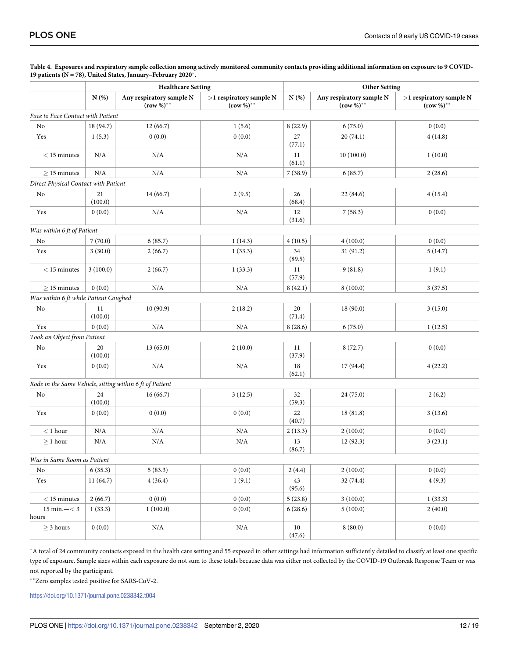|                                       | <b>Healthcare Setting</b> |                                                          |                                      | <b>Other Setting</b> |                                                     |                                           |  |
|---------------------------------------|---------------------------|----------------------------------------------------------|--------------------------------------|----------------------|-----------------------------------------------------|-------------------------------------------|--|
|                                       | N(%)                      | Any respiratory sample N<br>(row %)                      | $>1$ respiratory sample N<br>(row %) | N(%)                 | Any respiratory sample N<br>$(row %)$ <sup>**</sup> | $>1$ respiratory sample N<br>$(row %)$ ** |  |
| Face to Face Contact with Patient     |                           |                                                          |                                      |                      |                                                     |                                           |  |
| No                                    | 18 (94.7)                 | 12(66.7)                                                 | 1(5.6)                               | 8(22.9)              | 6(75.0)                                             | 0(0.0)                                    |  |
| Yes                                   | 1(5.3)                    | 0(0.0)                                                   | 0(0.0)                               | 27<br>(77.1)         | 20(74.1)                                            | 4(14.8)                                   |  |
| $<$ 15 minutes                        | N/A                       | N/A                                                      | N/A                                  | 11<br>(61.1)         | 10(100.0)                                           | 1(10.0)                                   |  |
| $>$ 15 minutes                        | N/A                       | $\rm N/A$                                                | $\rm N/A$                            | 7(38.9)              | 6(85.7)                                             | 2(28.6)                                   |  |
| Direct Physical Contact with Patient  |                           |                                                          |                                      |                      |                                                     |                                           |  |
| No                                    | 21<br>(100.0)             | 14(66.7)                                                 | 2(9.5)                               | 26<br>(68.4)         | 22(84.6)                                            | 4(15.4)                                   |  |
| Yes                                   | 0(0.0)                    | N/A                                                      | N/A                                  | 12<br>(31.6)         | 7(58.3)                                             | 0(0.0)                                    |  |
| Was within 6 ft of Patient            |                           |                                                          |                                      |                      |                                                     |                                           |  |
| No                                    | 7(70.0)                   | 6(85.7)                                                  | 1(14.3)                              | 4(10.5)              | 4(100.0)                                            | 0(0.0)                                    |  |
| Yes                                   | 3(30.0)                   | 2(66.7)                                                  | 1(33.3)                              | 34<br>(89.5)         | 31(91.2)                                            | 5(14.7)                                   |  |
| $<$ 15 minutes                        | 3(100.0)                  | 2(66.7)                                                  | 1(33.3)                              | 11<br>(57.9)         | 9(81.8)                                             | 1(9.1)                                    |  |
| $>$ 15 minutes                        | 0(0.0)                    | N/A                                                      | N/A                                  | 8(42.1)              | 8(100.0)                                            | 3(37.5)                                   |  |
| Was within 6 ft while Patient Coughed |                           |                                                          |                                      |                      |                                                     |                                           |  |
| No                                    | 11<br>(100.0)             | 10(90.9)                                                 | 2(18.2)                              | 20<br>(71.4)         | 18(90.0)                                            | 3(15.0)                                   |  |
| Yes                                   | 0(0.0)                    | N/A                                                      | N/A                                  | 8(28.6)              | 6(75.0)                                             | 1(12.5)                                   |  |
| Took an Object from Patient           |                           |                                                          |                                      |                      |                                                     |                                           |  |
| No                                    | 20<br>(100.0)             | 13(65.0)                                                 | 2(10.0)                              | 11<br>(37.9)         | 8(72.7)                                             | 0(0.0)                                    |  |
| Yes                                   | 0(0.0)                    | N/A                                                      | $\rm N/A$                            | 18<br>(62.1)         | 17 (94.4)                                           | 4(22.2)                                   |  |
|                                       |                           | Rode in the Same Vehicle, sitting within 6 ft of Patient |                                      |                      |                                                     |                                           |  |
| No                                    | 24<br>(100.0)             | 16(66.7)                                                 | 3(12.5)                              | 32<br>(59.3)         | 24(75.0)                                            | 2(6.2)                                    |  |
| Yes                                   | 0(0.0)                    | 0(0.0)                                                   | 0(0.0)                               | $22\,$<br>(40.7)     | 18(81.8)                                            | 3(13.6)                                   |  |
| $< 1$ hour                            | $\rm N/A$                 | N/A                                                      | $\rm N/A$                            | 2(13.3)              | 2(100.0)                                            | 0(0.0)                                    |  |
| $\geq 1$ hour                         | N/A                       | N/A                                                      | $\rm N/A$                            | 13<br>(86.7)         | 12(92.3)                                            | 3(23.1)                                   |  |
| Was in Same Room as Patient           |                           |                                                          |                                      |                      |                                                     |                                           |  |
| No                                    | 6(35.3)                   | 5(83.3)                                                  | 0(0.0)                               | 2(4.4)               | 2(100.0)                                            | 0(0.0)                                    |  |
| Yes                                   | 11(64.7)                  | 4(36.4)                                                  | 1(9.1)                               | 43<br>(95.6)         | 32 (74.4)                                           | 4(9.3)                                    |  |
| $<$ 15 minutes                        | 2(66.7)                   | 0(0.0)                                                   | 0(0.0)                               | 5(23.8)              | 3(100.0)                                            | 1(33.3)                                   |  |
| 15 min. $-\lt 3$<br>hours             | 1(33.3)                   | 1(100.0)                                                 | 0(0.0)                               | 6(28.6)              | 5(100.0)                                            | 2(40.0)                                   |  |
| $\geq$ 3 hours                        | 0(0.0)                    | N/A                                                      | N/A                                  | 10<br>(47.6)         | 8(80.0)                                             | 0(0.0)                                    |  |

<span id="page-11-0"></span>[Table](#page-10-0) 4. Exposures and respiratory sample collection among actively monitored community contacts providing additional information on exposure to 9 COVID-**19 patients (N = 78), United States, January–February 2020**�**.**

�A total of 24 community contacts exposed in the health care setting and 55 exposed in other settings had information sufficiently detailed to classify at least one specific type of exposure. Sample sizes within each exposure do not sum to these totals because data was either not collected by the COVID-19 Outbreak Response Team or was not reported by the participant.

��Zero samples tested positive for SARS-CoV-2.

<https://doi.org/10.1371/journal.pone.0238342.t004>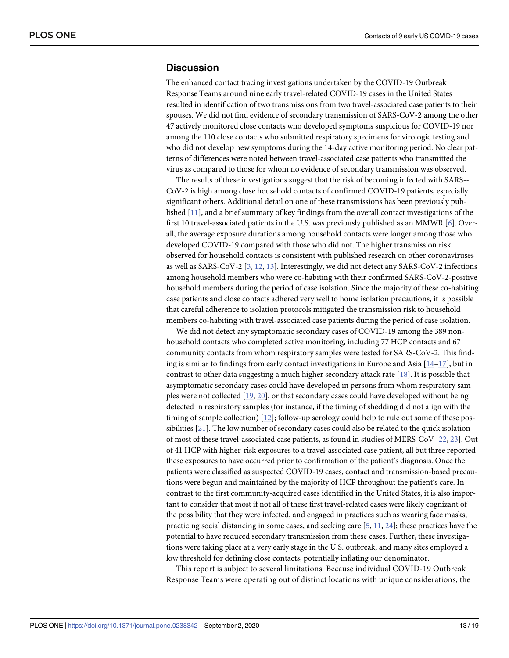# <span id="page-12-0"></span>**Discussion**

The enhanced contact tracing investigations undertaken by the COVID-19 Outbreak Response Teams around nine early travel-related COVID-19 cases in the United States resulted in identification of two transmissions from two travel-associated case patients to their spouses. We did not find evidence of secondary transmission of SARS-CoV-2 among the other 47 actively monitored close contacts who developed symptoms suspicious for COVID-19 nor among the 110 close contacts who submitted respiratory specimens for virologic testing and who did not develop new symptoms during the 14-day active monitoring period. No clear patterns of differences were noted between travel-associated case patients who transmitted the virus as compared to those for whom no evidence of secondary transmission was observed.

The results of these investigations suggest that the risk of becoming infected with SARS-- CoV-2 is high among close household contacts of confirmed COVID-19 patients, especially significant others. Additional detail on one of these transmissions has been previously published [\[11\]](#page-17-0), and a brief summary of key findings from the overall contact investigations of the first 10 travel-associated patients in the U.S. was previously published as an MMWR  $[6]$  $[6]$ . Overall, the average exposure durations among household contacts were longer among those who developed COVID-19 compared with those who did not. The higher transmission risk observed for household contacts is consistent with published research on other coronaviruses as well as SARS-CoV-2 [\[3,](#page-16-0) [12,](#page-17-0) [13\]](#page-17-0). Interestingly, we did not detect any SARS-CoV-2 infections among household members who were co-habiting with their confirmed SARS-CoV-2-positive household members during the period of case isolation. Since the majority of these co-habiting case patients and close contacts adhered very well to home isolation precautions, it is possible that careful adherence to isolation protocols mitigated the transmission risk to household members co-habiting with travel-associated case patients during the period of case isolation.

We did not detect any symptomatic secondary cases of COVID-19 among the 389 nonhousehold contacts who completed active monitoring, including 77 HCP contacts and 67 community contacts from whom respiratory samples were tested for SARS-CoV-2. This finding is similar to findings from early contact investigations in Europe and Asia  $[14-17]$  $[14-17]$  $[14-17]$  $[14-17]$  $[14-17]$ , but in contrast to other data suggesting a much higher secondary attack rate  $[18]$  $[18]$  $[18]$ . It is possible that asymptomatic secondary cases could have developed in persons from whom respiratory samples were not collected [\[19,](#page-17-0) [20\]](#page-17-0), or that secondary cases could have developed without being detected in respiratory samples (for instance, if the timing of shedding did not align with the timing of sample collection) [\[12\]](#page-17-0); follow-up serology could help to rule out some of these possibilities [\[21\]](#page-17-0). The low number of secondary cases could also be related to the quick isolation of most of these travel-associated case patients, as found in studies of MERS-CoV [[22](#page-17-0), [23](#page-17-0)]. Out of 41 HCP with higher-risk exposures to a travel-associated case patient, all but three reported these exposures to have occurred prior to confirmation of the patient's diagnosis. Once the patients were classified as suspected COVID-19 cases, contact and transmission-based precautions were begun and maintained by the majority of HCP throughout the patient's care. In contrast to the first community-acquired cases identified in the United States, it is also important to consider that most if not all of these first travel-related cases were likely cognizant of the possibility that they were infected, and engaged in practices such as wearing face masks, practicing social distancing in some cases, and seeking care [\[5,](#page-16-0) [11,](#page-17-0) [24\]](#page-17-0); these practices have the potential to have reduced secondary transmission from these cases. Further, these investigations were taking place at a very early stage in the U.S. outbreak, and many sites employed a low threshold for defining close contacts, potentially inflating our denominator.

This report is subject to several limitations. Because individual COVID-19 Outbreak Response Teams were operating out of distinct locations with unique considerations, the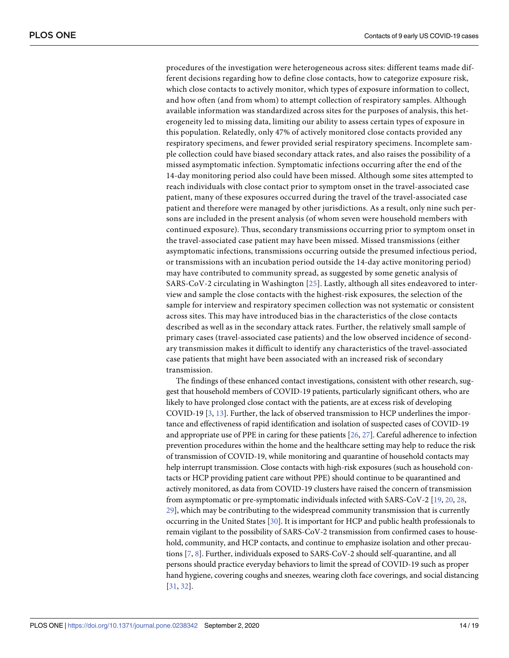<span id="page-13-0"></span>procedures of the investigation were heterogeneous across sites: different teams made different decisions regarding how to define close contacts, how to categorize exposure risk, which close contacts to actively monitor, which types of exposure information to collect, and how often (and from whom) to attempt collection of respiratory samples. Although available information was standardized across sites for the purposes of analysis, this heterogeneity led to missing data, limiting our ability to assess certain types of exposure in this population. Relatedly, only 47% of actively monitored close contacts provided any respiratory specimens, and fewer provided serial respiratory specimens. Incomplete sample collection could have biased secondary attack rates, and also raises the possibility of a missed asymptomatic infection. Symptomatic infections occurring after the end of the 14-day monitoring period also could have been missed. Although some sites attempted to reach individuals with close contact prior to symptom onset in the travel-associated case patient, many of these exposures occurred during the travel of the travel-associated case patient and therefore were managed by other jurisdictions. As a result, only nine such persons are included in the present analysis (of whom seven were household members with continued exposure). Thus, secondary transmissions occurring prior to symptom onset in the travel-associated case patient may have been missed. Missed transmissions (either asymptomatic infections, transmissions occurring outside the presumed infectious period, or transmissions with an incubation period outside the 14-day active monitoring period) may have contributed to community spread, as suggested by some genetic analysis of SARS-CoV-2 circulating in Washington [[25\]](#page-17-0). Lastly, although all sites endeavored to interview and sample the close contacts with the highest-risk exposures, the selection of the sample for interview and respiratory specimen collection was not systematic or consistent across sites. This may have introduced bias in the characteristics of the close contacts described as well as in the secondary attack rates. Further, the relatively small sample of primary cases (travel-associated case patients) and the low observed incidence of secondary transmission makes it difficult to identify any characteristics of the travel-associated case patients that might have been associated with an increased risk of secondary transmission.

The findings of these enhanced contact investigations, consistent with other research, suggest that household members of COVID-19 patients, particularly significant others, who are likely to have prolonged close contact with the patients, are at excess risk of developing COVID-19 [\[3](#page-16-0), [13](#page-17-0)]. Further, the lack of observed transmission to HCP underlines the importance and effectiveness of rapid identification and isolation of suspected cases of COVID-19 and appropriate use of PPE in caring for these patients [[26](#page-18-0), [27](#page-18-0)]. Careful adherence to infection prevention procedures within the home and the healthcare setting may help to reduce the risk of transmission of COVID-19, while monitoring and quarantine of household contacts may help interrupt transmission. Close contacts with high-risk exposures (such as household contacts or HCP providing patient care without PPE) should continue to be quarantined and actively monitored, as data from COVID-19 clusters have raised the concern of transmission from asymptomatic or pre-symptomatic individuals infected with SARS-CoV-2 [[19](#page-17-0), [20](#page-17-0), [28](#page-18-0), [29\]](#page-18-0), which may be contributing to the widespread community transmission that is currently occurring in the United States [\[30\]](#page-18-0). It is important for HCP and public health professionals to remain vigilant to the possibility of SARS-CoV-2 transmission from confirmed cases to household, community, and HCP contacts, and continue to emphasize isolation and other precautions [\[7](#page-16-0), [8](#page-16-0)]. Further, individuals exposed to SARS-CoV-2 should self-quarantine, and all persons should practice everyday behaviors to limit the spread of COVID-19 such as proper hand hygiene, covering coughs and sneezes, wearing cloth face coverings, and social distancing [\[31,](#page-18-0) [32\]](#page-18-0).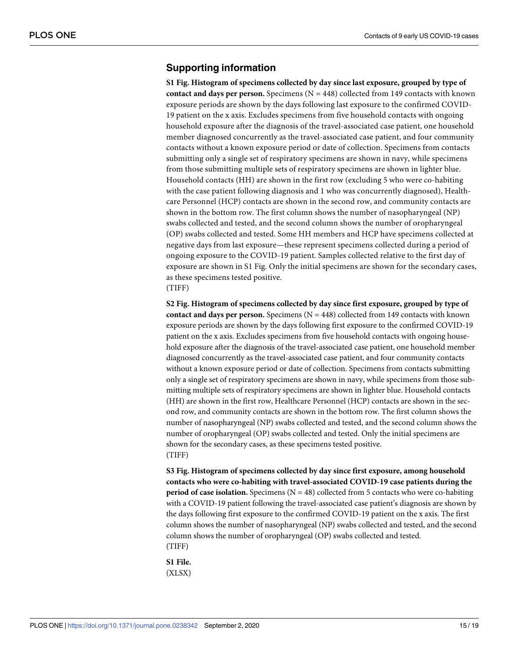# <span id="page-14-0"></span>**Supporting information**

**S1 [Fig](http://www.plosone.org/article/fetchSingleRepresentation.action?uri=info:doi/10.1371/journal.pone.0238342.s001). Histogram of specimens collected by day since last exposure, grouped by type of contact and days per person.** Specimens ( $N = 448$ ) collected from 149 contacts with known exposure periods are shown by the days following last exposure to the confirmed COVID-19 patient on the x axis. Excludes specimens from five household contacts with ongoing household exposure after the diagnosis of the travel-associated case patient, one household member diagnosed concurrently as the travel-associated case patient, and four community contacts without a known exposure period or date of collection. Specimens from contacts submitting only a single set of respiratory specimens are shown in navy, while specimens from those submitting multiple sets of respiratory specimens are shown in lighter blue. Household contacts (HH) are shown in the first row (excluding 5 who were co-habiting with the case patient following diagnosis and 1 who was concurrently diagnosed), Healthcare Personnel (HCP) contacts are shown in the second row, and community contacts are shown in the bottom row. The first column shows the number of nasopharyngeal (NP) swabs collected and tested, and the second column shows the number of oropharyngeal (OP) swabs collected and tested. Some HH members and HCP have specimens collected at negative days from last exposure—these represent specimens collected during a period of ongoing exposure to the COVID-19 patient. Samples collected relative to the first day of exposure are shown in S1 Fig. Only the initial specimens are shown for the secondary cases, as these specimens tested positive.



**S2 [Fig](http://www.plosone.org/article/fetchSingleRepresentation.action?uri=info:doi/10.1371/journal.pone.0238342.s002). Histogram of specimens collected by day since first exposure, grouped by type of contact and days per person.** Specimens (N = 448) collected from 149 contacts with known exposure periods are shown by the days following first exposure to the confirmed COVID-19 patient on the x axis. Excludes specimens from five household contacts with ongoing household exposure after the diagnosis of the travel-associated case patient, one household member diagnosed concurrently as the travel-associated case patient, and four community contacts without a known exposure period or date of collection. Specimens from contacts submitting only a single set of respiratory specimens are shown in navy, while specimens from those submitting multiple sets of respiratory specimens are shown in lighter blue. Household contacts (HH) are shown in the first row, Healthcare Personnel (HCP) contacts are shown in the second row, and community contacts are shown in the bottom row. The first column shows the number of nasopharyngeal (NP) swabs collected and tested, and the second column shows the number of oropharyngeal (OP) swabs collected and tested. Only the initial specimens are shown for the secondary cases, as these specimens tested positive. (TIFF)

**S3 [Fig](http://www.plosone.org/article/fetchSingleRepresentation.action?uri=info:doi/10.1371/journal.pone.0238342.s003). Histogram of specimens collected by day since first exposure, among household contacts who were co-habiting with travel-associated COVID-19 case patients during the period of case isolation.** Specimens  $(N = 48)$  collected from 5 contacts who were co-habiting with a COVID-19 patient following the travel-associated case patient's diagnosis are shown by the days following first exposure to the confirmed COVID-19 patient on the x axis. The first column shows the number of nasopharyngeal (NP) swabs collected and tested, and the second column shows the number of oropharyngeal (OP) swabs collected and tested. (TIFF)

**S1 [File.](http://www.plosone.org/article/fetchSingleRepresentation.action?uri=info:doi/10.1371/journal.pone.0238342.s004)** (XLSX)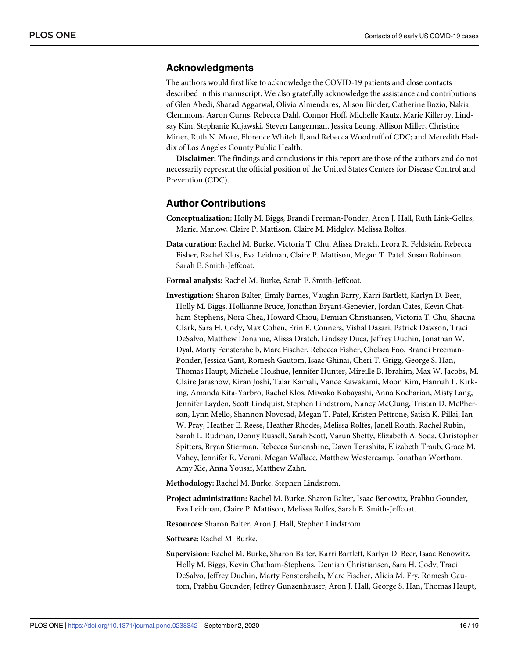# **Acknowledgments**

The authors would first like to acknowledge the COVID-19 patients and close contacts described in this manuscript. We also gratefully acknowledge the assistance and contributions of Glen Abedi, Sharad Aggarwal, Olivia Almendares, Alison Binder, Catherine Bozio, Nakia Clemmons, Aaron Curns, Rebecca Dahl, Connor Hoff, Michelle Kautz, Marie Killerby, Lindsay Kim, Stephanie Kujawski, Steven Langerman, Jessica Leung, Allison Miller, Christine Miner, Ruth N. Moro, Florence Whitehill, and Rebecca Woodruff of CDC; and Meredith Haddix of Los Angeles County Public Health.

**Disclaimer:** The findings and conclusions in this report are those of the authors and do not necessarily represent the official position of the United States Centers for Disease Control and Prevention (CDC).

# **Author Contributions**

- **Conceptualization:** Holly M. Biggs, Brandi Freeman-Ponder, Aron J. Hall, Ruth Link-Gelles, Mariel Marlow, Claire P. Mattison, Claire M. Midgley, Melissa Rolfes.
- **Data curation:** Rachel M. Burke, Victoria T. Chu, Alissa Dratch, Leora R. Feldstein, Rebecca Fisher, Rachel Klos, Eva Leidman, Claire P. Mattison, Megan T. Patel, Susan Robinson, Sarah E. Smith-Jeffcoat.
- **Formal analysis:** Rachel M. Burke, Sarah E. Smith-Jeffcoat.
- **Investigation:** Sharon Balter, Emily Barnes, Vaughn Barry, Karri Bartlett, Karlyn D. Beer, Holly M. Biggs, Hollianne Bruce, Jonathan Bryant-Genevier, Jordan Cates, Kevin Chatham-Stephens, Nora Chea, Howard Chiou, Demian Christiansen, Victoria T. Chu, Shauna Clark, Sara H. Cody, Max Cohen, Erin E. Conners, Vishal Dasari, Patrick Dawson, Traci DeSalvo, Matthew Donahue, Alissa Dratch, Lindsey Duca, Jeffrey Duchin, Jonathan W. Dyal, Marty Fenstersheib, Marc Fischer, Rebecca Fisher, Chelsea Foo, Brandi Freeman-Ponder, Jessica Gant, Romesh Gautom, Isaac Ghinai, Cheri T. Grigg, George S. Han, Thomas Haupt, Michelle Holshue, Jennifer Hunter, Mireille B. Ibrahim, Max W. Jacobs, M. Claire Jarashow, Kiran Joshi, Talar Kamali, Vance Kawakami, Moon Kim, Hannah L. Kirking, Amanda Kita-Yarbro, Rachel Klos, Miwako Kobayashi, Anna Kocharian, Misty Lang, Jennifer Layden, Scott Lindquist, Stephen Lindstrom, Nancy McClung, Tristan D. McPherson, Lynn Mello, Shannon Novosad, Megan T. Patel, Kristen Pettrone, Satish K. Pillai, Ian W. Pray, Heather E. Reese, Heather Rhodes, Melissa Rolfes, Janell Routh, Rachel Rubin, Sarah L. Rudman, Denny Russell, Sarah Scott, Varun Shetty, Elizabeth A. Soda, Christopher Spitters, Bryan Stierman, Rebecca Sunenshine, Dawn Terashita, Elizabeth Traub, Grace M. Vahey, Jennifer R. Verani, Megan Wallace, Matthew Westercamp, Jonathan Wortham, Amy Xie, Anna Yousaf, Matthew Zahn.

**Methodology:** Rachel M. Burke, Stephen Lindstrom.

**Project administration:** Rachel M. Burke, Sharon Balter, Isaac Benowitz, Prabhu Gounder, Eva Leidman, Claire P. Mattison, Melissa Rolfes, Sarah E. Smith-Jeffcoat.

**Resources:** Sharon Balter, Aron J. Hall, Stephen Lindstrom.

**Software:** Rachel M. Burke.

**Supervision:** Rachel M. Burke, Sharon Balter, Karri Bartlett, Karlyn D. Beer, Isaac Benowitz, Holly M. Biggs, Kevin Chatham-Stephens, Demian Christiansen, Sara H. Cody, Traci DeSalvo, Jeffrey Duchin, Marty Fenstersheib, Marc Fischer, Alicia M. Fry, Romesh Gautom, Prabhu Gounder, Jeffrey Gunzenhauser, Aron J. Hall, George S. Han, Thomas Haupt,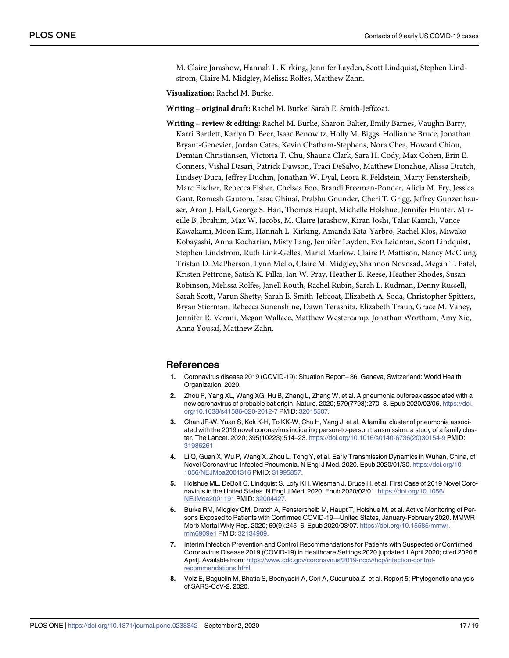<span id="page-16-0"></span>M. Claire Jarashow, Hannah L. Kirking, Jennifer Layden, Scott Lindquist, Stephen Lindstrom, Claire M. Midgley, Melissa Rolfes, Matthew Zahn.

**Visualization:** Rachel M. Burke.

**Writing – original draft:** Rachel M. Burke, Sarah E. Smith-Jeffcoat.

**Writing – review & editing:** Rachel M. Burke, Sharon Balter, Emily Barnes, Vaughn Barry, Karri Bartlett, Karlyn D. Beer, Isaac Benowitz, Holly M. Biggs, Hollianne Bruce, Jonathan Bryant-Genevier, Jordan Cates, Kevin Chatham-Stephens, Nora Chea, Howard Chiou, Demian Christiansen, Victoria T. Chu, Shauna Clark, Sara H. Cody, Max Cohen, Erin E. Conners, Vishal Dasari, Patrick Dawson, Traci DeSalvo, Matthew Donahue, Alissa Dratch, Lindsey Duca, Jeffrey Duchin, Jonathan W. Dyal, Leora R. Feldstein, Marty Fenstersheib, Marc Fischer, Rebecca Fisher, Chelsea Foo, Brandi Freeman-Ponder, Alicia M. Fry, Jessica Gant, Romesh Gautom, Isaac Ghinai, Prabhu Gounder, Cheri T. Grigg, Jeffrey Gunzenhauser, Aron J. Hall, George S. Han, Thomas Haupt, Michelle Holshue, Jennifer Hunter, Mireille B. Ibrahim, Max W. Jacobs, M. Claire Jarashow, Kiran Joshi, Talar Kamali, Vance Kawakami, Moon Kim, Hannah L. Kirking, Amanda Kita-Yarbro, Rachel Klos, Miwako Kobayashi, Anna Kocharian, Misty Lang, Jennifer Layden, Eva Leidman, Scott Lindquist, Stephen Lindstrom, Ruth Link-Gelles, Mariel Marlow, Claire P. Mattison, Nancy McClung, Tristan D. McPherson, Lynn Mello, Claire M. Midgley, Shannon Novosad, Megan T. Patel, Kristen Pettrone, Satish K. Pillai, Ian W. Pray, Heather E. Reese, Heather Rhodes, Susan Robinson, Melissa Rolfes, Janell Routh, Rachel Rubin, Sarah L. Rudman, Denny Russell, Sarah Scott, Varun Shetty, Sarah E. Smith-Jeffcoat, Elizabeth A. Soda, Christopher Spitters, Bryan Stierman, Rebecca Sunenshine, Dawn Terashita, Elizabeth Traub, Grace M. Vahey, Jennifer R. Verani, Megan Wallace, Matthew Westercamp, Jonathan Wortham, Amy Xie, Anna Yousaf, Matthew Zahn.

# **References**

- **[1](#page-1-0).** Coronavirus disease 2019 (COVID-19): Situation Report– 36. Geneva, Switzerland: World Health Organization, 2020.
- **[2](#page-1-0).** Zhou P, Yang XL, Wang XG, Hu B, Zhang L, Zhang W, et al. A pneumonia outbreak associated with a new coronavirus of probable bat origin. Nature. 2020; 579(7798):270–3. Epub 2020/02/06. [https://doi.](https://doi.org/10.1038/s41586-020-2012-7) [org/10.1038/s41586-020-2012-7](https://doi.org/10.1038/s41586-020-2012-7) PMID: [32015507.](http://www.ncbi.nlm.nih.gov/pubmed/32015507)
- **[3](#page-1-0).** Chan JF-W, Yuan S, Kok K-H, To KK-W, Chu H, Yang J, et al. A familial cluster of pneumonia associated with the 2019 novel coronavirus indicating person-to-person transmission: a study of a family cluster. The Lancet. 2020; 395(10223):514–23. [https://doi.org/10.1016/s0140-6736\(20\)30154-9](https://doi.org/10.1016/s0140-6736(20)30154-9) PMID: [31986261](http://www.ncbi.nlm.nih.gov/pubmed/31986261)
- **[4](#page-1-0).** Li Q, Guan X, Wu P, Wang X, Zhou L, Tong Y, et al. Early Transmission Dynamics in Wuhan, China, of Novel Coronavirus-Infected Pneumonia. N Engl J Med. 2020. Epub 2020/01/30. [https://doi.org/10.](https://doi.org/10.1056/NEJMoa2001316) [1056/NEJMoa2001316](https://doi.org/10.1056/NEJMoa2001316) PMID: [31995857](http://www.ncbi.nlm.nih.gov/pubmed/31995857).
- **[5](#page-1-0).** Holshue ML, DeBolt C, Lindquist S, Lofy KH, Wiesman J, Bruce H, et al. First Case of 2019 Novel Coronavirus in the United States. N Engl J Med. 2020. Epub 2020/02/01. [https://doi.org/10.1056/](https://doi.org/10.1056/NEJMoa2001191) [NEJMoa2001191](https://doi.org/10.1056/NEJMoa2001191) PMID: [32004427.](http://www.ncbi.nlm.nih.gov/pubmed/32004427)
- **[6](#page-1-0).** Burke RM, Midgley CM, Dratch A, Fenstersheib M, Haupt T, Holshue M, et al. Active Monitoring of Persons Exposed to Patients with Confirmed COVID-19—United States, January-February 2020. MMWR Morb Mortal Wkly Rep. 2020; 69(9):245–6. Epub 2020/03/07. [https://doi.org/10.15585/mmwr.](https://doi.org/10.15585/mmwr.mm6909e1) [mm6909e1](https://doi.org/10.15585/mmwr.mm6909e1) PMID: [32134909](http://www.ncbi.nlm.nih.gov/pubmed/32134909).
- **[7](#page-3-0).** Interim Infection Prevention and Control Recommendations for Patients with Suspected or Confirmed Coronavirus Disease 2019 (COVID-19) in Healthcare Settings 2020 [updated 1 April 2020; cited 2020 5 April]. Available from: [https://www.cdc.gov/coronavirus/2019-ncov/hcp/infection-control](https://www.cdc.gov/coronavirus/2019-ncov/hcp/infection-control-recommendations.html)[recommendations.html](https://www.cdc.gov/coronavirus/2019-ncov/hcp/infection-control-recommendations.html).
- **[8](#page-4-0).** Volz E, Baguelin M, Bhatia S, Boonyasiri A, Cori A, Cucunubá Z, et al. Report 5: Phylogenetic analysis of SARS-CoV-2. 2020.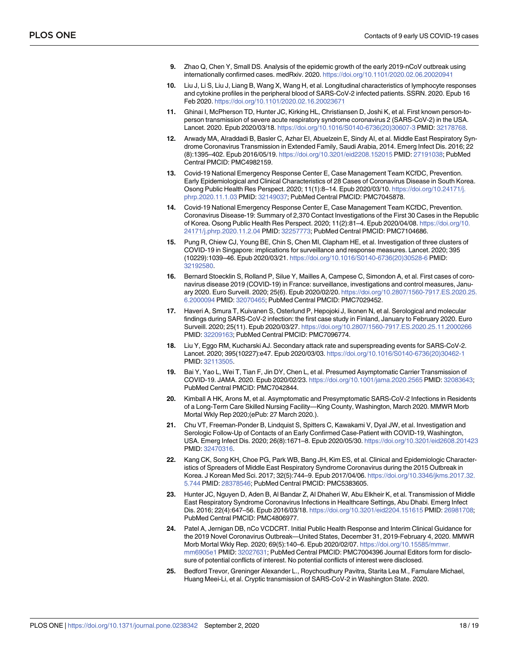- <span id="page-17-0"></span>**[9](#page-4-0).** Zhao Q, Chen Y, Small DS. Analysis of the epidemic growth of the early 2019-nCoV outbreak using internationally confirmed cases. medRxiv. 2020. <https://doi.org/10.1101/2020.02.06.20020941>
- **[10](#page-4-0).** Liu J, Li S, Liu J, Liang B, Wang X, Wang H, et al. Longitudinal characteristics of lymphocyte responses and cytokine profiles in the peripheral blood of SARS-CoV-2 infected patients. SSRN. 2020. Epub 16 Feb 2020. <https://doi.org/10.1101/2020.02.16.20023671>
- **[11](#page-12-0).** Ghinai I, McPherson TD, Hunter JC, Kirking HL, Christiansen D, Joshi K, et al. First known person-toperson transmission of severe acute respiratory syndrome coronavirus 2 (SARS-CoV-2) in the USA. Lancet. 2020. Epub 2020/03/18. [https://doi.org/10.1016/S0140-6736\(20\)30607-3](https://doi.org/10.1016/S0140-6736(20)30607-3) PMID: [32178768](http://www.ncbi.nlm.nih.gov/pubmed/32178768).
- **[12](#page-12-0).** Arwady MA, Alraddadi B, Basler C, Azhar EI, Abuelzein E, Sindy AI, et al. Middle East Respiratory Syndrome Coronavirus Transmission in Extended Family, Saudi Arabia, 2014. Emerg Infect Dis. 2016; 22 (8):1395–402. Epub 2016/05/19. <https://doi.org/10.3201/eid2208.152015> PMID: [27191038;](http://www.ncbi.nlm.nih.gov/pubmed/27191038) PubMed Central PMCID: PMC4982159.
- **[13](#page-12-0).** Covid-19 National Emergency Response Center E, Case Management Team KCfDC, Prevention. Early Epidemiological and Clinical Characteristics of 28 Cases of Coronavirus Disease in South Korea. Osong Public Health Res Perspect. 2020; 11(1):8–14. Epub 2020/03/10. [https://doi.org/10.24171/j.](https://doi.org/10.24171/j.phrp.2020.11.1.03) [phrp.2020.11.1.03](https://doi.org/10.24171/j.phrp.2020.11.1.03) PMID: [32149037;](http://www.ncbi.nlm.nih.gov/pubmed/32149037) PubMed Central PMCID: PMC7045878.
- **[14](#page-12-0).** Covid-19 National Emergency Response Center E, Case Management Team KCfDC, Prevention. Coronavirus Disease-19: Summary of 2,370 Contact Investigations of the First 30 Cases in the Republic of Korea. Osong Public Health Res Perspect. 2020; 11(2):81–4. Epub 2020/04/08. [https://doi.org/10.](https://doi.org/10.24171/j.phrp.2020.11.2.04) [24171/j.phrp.2020.11.2.04](https://doi.org/10.24171/j.phrp.2020.11.2.04) PMID: [32257773;](http://www.ncbi.nlm.nih.gov/pubmed/32257773) PubMed Central PMCID: PMC7104686.
- **15.** Pung R, Chiew CJ, Young BE, Chin S, Chen MI, Clapham HE, et al. Investigation of three clusters of COVID-19 in Singapore: implications for surveillance and response measures. Lancet. 2020; 395 (10229):1039–46. Epub 2020/03/21. [https://doi.org/10.1016/S0140-6736\(20\)30528-6](https://doi.org/10.1016/S0140-6736(20)30528-6) PMID: [32192580](http://www.ncbi.nlm.nih.gov/pubmed/32192580).
- **16.** Bernard Stoecklin S, Rolland P, Silue Y, Mailles A, Campese C, Simondon A, et al. First cases of coronavirus disease 2019 (COVID-19) in France: surveillance, investigations and control measures, January 2020. Euro Surveill. 2020; 25(6). Epub 2020/02/20. [https://doi.org/10.2807/1560-7917.ES.2020.25.](https://doi.org/10.2807/1560-7917.ES.2020.25.6.2000094) [6.2000094](https://doi.org/10.2807/1560-7917.ES.2020.25.6.2000094) PMID: [32070465](http://www.ncbi.nlm.nih.gov/pubmed/32070465); PubMed Central PMCID: PMC7029452.
- **[17](#page-12-0).** Haveri A, Smura T, Kuivanen S, Osterlund P, Hepojoki J, Ikonen N, et al. Serological and molecular findings during SARS-CoV-2 infection: the first case study in Finland, January to February 2020. Euro Surveill. 2020; 25(11). Epub 2020/03/27. <https://doi.org/10.2807/1560-7917.ES.2020.25.11.2000266> PMID: [32209163](http://www.ncbi.nlm.nih.gov/pubmed/32209163); PubMed Central PMCID: PMC7096774.
- **[18](#page-12-0).** Liu Y, Eggo RM, Kucharski AJ. Secondary attack rate and superspreading events for SARS-CoV-2. Lancet. 2020; 395(10227):e47. Epub 2020/03/03. [https://doi.org/10.1016/S0140-6736\(20\)30462-1](https://doi.org/10.1016/S0140-6736(20)30462-1) PMID: [32113505](http://www.ncbi.nlm.nih.gov/pubmed/32113505).
- **[19](#page-12-0).** Bai Y, Yao L, Wei T, Tian F, Jin DY, Chen L, et al. Presumed Asymptomatic Carrier Transmission of COVID-19. JAMA. 2020. Epub 2020/02/23. <https://doi.org/10.1001/jama.2020.2565> PMID: [32083643;](http://www.ncbi.nlm.nih.gov/pubmed/32083643) PubMed Central PMCID: PMC7042844.
- **[20](#page-12-0).** Kimball A HK, Arons M, et al. Asymptomatic and Presymptomatic SARS-CoV-2 Infections in Residents of a Long-Term Care Skilled Nursing Facility—King County, Washington, March 2020. MMWR Morb Mortal Wkly Rep 2020;(ePub: 27 March 2020.).
- **[21](#page-12-0).** Chu VT, Freeman-Ponder B, Lindquist S, Spitters C, Kawakami V, Dyal JW, et al. Investigation and Serologic Follow-Up of Contacts of an Early Confirmed Case-Patient with COVID-19, Washington, USA. Emerg Infect Dis. 2020; 26(8):1671–8. Epub 2020/05/30. <https://doi.org/10.3201/eid2608.201423> PMID: [32470316](http://www.ncbi.nlm.nih.gov/pubmed/32470316).
- **[22](#page-12-0).** Kang CK, Song KH, Choe PG, Park WB, Bang JH, Kim ES, et al. Clinical and Epidemiologic Characteristics of Spreaders of Middle East Respiratory Syndrome Coronavirus during the 2015 Outbreak in Korea. J Korean Med Sci. 2017; 32(5):744–9. Epub 2017/04/06. [https://doi.org/10.3346/jkms.2017.32.](https://doi.org/10.3346/jkms.2017.32.5.744) [5.744](https://doi.org/10.3346/jkms.2017.32.5.744) PMID: [28378546;](http://www.ncbi.nlm.nih.gov/pubmed/28378546) PubMed Central PMCID: PMC5383605.
- **[23](#page-12-0).** Hunter JC, Nguyen D, Aden B, Al Bandar Z, Al Dhaheri W, Abu Elkheir K, et al. Transmission of Middle East Respiratory Syndrome Coronavirus Infections in Healthcare Settings, Abu Dhabi. Emerg Infect Dis. 2016; 22(4):647–56. Epub 2016/03/18. <https://doi.org/10.3201/eid2204.151615> PMID: [26981708](http://www.ncbi.nlm.nih.gov/pubmed/26981708); PubMed Central PMCID: PMC4806977.
- **[24](#page-12-0).** Patel A, Jernigan DB, nCo VCDCRT. Initial Public Health Response and Interim Clinical Guidance for the 2019 Novel Coronavirus Outbreak—United States, December 31, 2019-February 4, 2020. MMWR Morb Mortal Wkly Rep. 2020; 69(5):140–6. Epub 2020/02/07. [https://doi.org/10.15585/mmwr.](https://doi.org/10.15585/mmwr.mm6905e1) [mm6905e1](https://doi.org/10.15585/mmwr.mm6905e1) PMID: [32027631](http://www.ncbi.nlm.nih.gov/pubmed/32027631); PubMed Central PMCID: PMC7004396 Journal Editors form for disclosure of potential conflicts of interest. No potential conflicts of interest were disclosed.
- **[25](#page-13-0).** Bedford Trevor, Greninger Alexander L., Roychoudhury Pavitra, Starita Lea M., Famulare Michael, Huang Meei-Li, et al. Cryptic transmission of SARS-CoV-2 in Washington State. 2020.